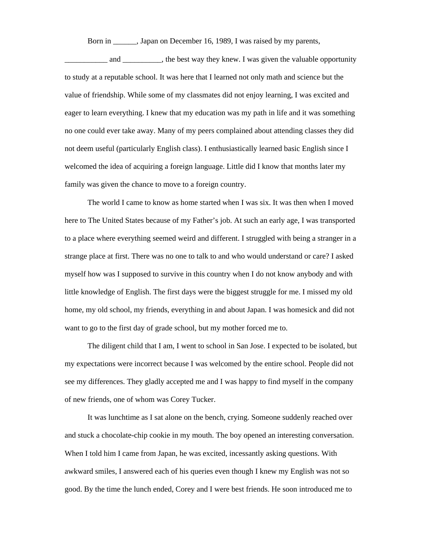Born in \_\_\_\_\_\_, Japan on December 16, 1989, I was raised by my parents,

and \_\_\_\_\_\_\_\_\_, the best way they knew. I was given the valuable opportunity to study at a reputable school. It was here that I learned not only math and science but the value of friendship. While some of my classmates did not enjoy learning, I was excited and eager to learn everything. I knew that my education was my path in life and it was something no one could ever take away. Many of my peers complained about attending classes they did not deem useful (particularly English class). I enthusiastically learned basic English since I welcomed the idea of acquiring a foreign language. Little did I know that months later my family was given the chance to move to a foreign country.

The world I came to know as home started when I was six. It was then when I moved here to The United States because of my Father's job. At such an early age, I was transported to a place where everything seemed weird and different. I struggled with being a stranger in a strange place at first. There was no one to talk to and who would understand or care? I asked myself how was I supposed to survive in this country when I do not know anybody and with little knowledge of English. The first days were the biggest struggle for me. I missed my old home, my old school, my friends, everything in and about Japan. I was homesick and did not want to go to the first day of grade school, but my mother forced me to.

The diligent child that I am, I went to school in San Jose. I expected to be isolated, but my expectations were incorrect because I was welcomed by the entire school. People did not see my differences. They gladly accepted me and I was happy to find myself in the company of new friends, one of whom was Corey Tucker.

It was lunchtime as I sat alone on the bench, crying. Someone suddenly reached over and stuck a chocolate-chip cookie in my mouth. The boy opened an interesting conversation. When I told him I came from Japan, he was excited, incessantly asking questions. With awkward smiles, I answered each of his queries even though I knew my English was not so good. By the time the lunch ended, Corey and I were best friends. He soon introduced me to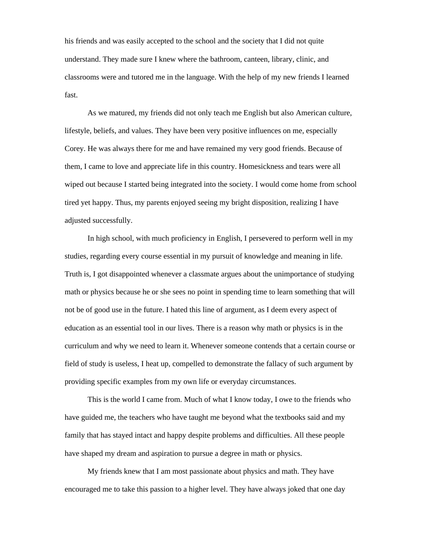his friends and was easily accepted to the school and the society that I did not quite understand. They made sure I knew where the bathroom, canteen, library, clinic, and classrooms were and tutored me in the language. With the help of my new friends I learned fast.

As we matured, my friends did not only teach me English but also American culture, lifestyle, beliefs, and values. They have been very positive influences on me, especially Corey. He was always there for me and have remained my very good friends. Because of them, I came to love and appreciate life in this country. Homesickness and tears were all wiped out because I started being integrated into the society. I would come home from school tired yet happy. Thus, my parents enjoyed seeing my bright disposition, realizing I have adjusted successfully.

In high school, with much proficiency in English, I persevered to perform well in my studies, regarding every course essential in my pursuit of knowledge and meaning in life. Truth is, I got disappointed whenever a classmate argues about the unimportance of studying math or physics because he or she sees no point in spending time to learn something that will not be of good use in the future. I hated this line of argument, as I deem every aspect of education as an essential tool in our lives. There is a reason why math or physics is in the curriculum and why we need to learn it. Whenever someone contends that a certain course or field of study is useless, I heat up, compelled to demonstrate the fallacy of such argument by providing specific examples from my own life or everyday circumstances.

This is the world I came from. Much of what I know today, I owe to the friends who have guided me, the teachers who have taught me beyond what the textbooks said and my family that has stayed intact and happy despite problems and difficulties. All these people have shaped my dream and aspiration to pursue a degree in math or physics.

My friends knew that I am most passionate about physics and math. They have encouraged me to take this passion to a higher level. They have always joked that one day